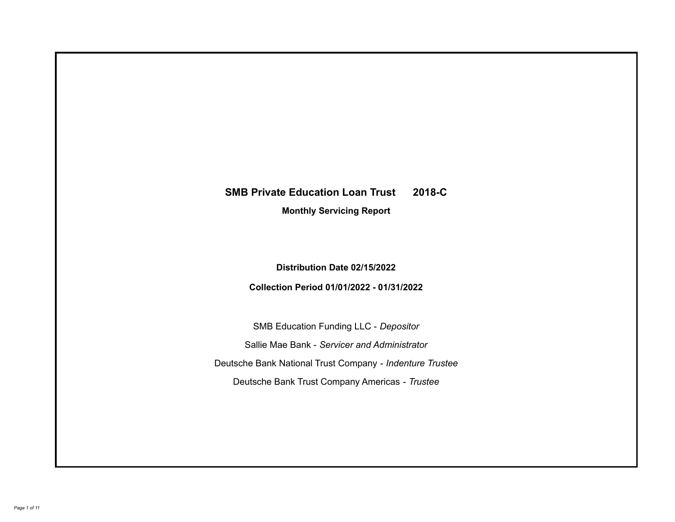# **SMB Private Education Loan Trust 2018-C**

**Monthly Servicing Report**

**Distribution Date 02/15/2022**

**Collection Period 01/01/2022 - 01/31/2022**

SMB Education Funding LLC - *Depositor* Sallie Mae Bank - *Servicer and Administrator* Deutsche Bank National Trust Company - *Indenture Trustee* Deutsche Bank Trust Company Americas - *Trustee*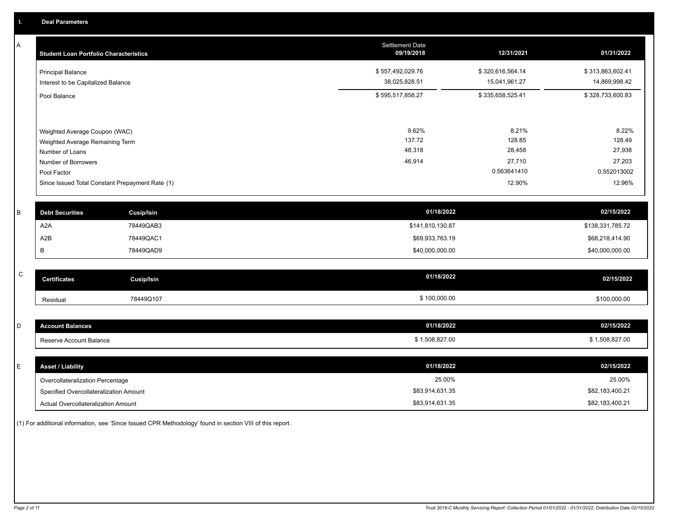A

| A            | <b>Student Loan Portfolio Characteristics</b> |                                                 | <b>Settlement Date</b><br>09/19/2018 | 12/31/2021       | 01/31/2022       |
|--------------|-----------------------------------------------|-------------------------------------------------|--------------------------------------|------------------|------------------|
|              | <b>Principal Balance</b>                      |                                                 | \$557,492,029.76                     | \$320,616,564.14 | \$313,863,602.41 |
|              | Interest to be Capitalized Balance            |                                                 | 38,025,828.51                        | 15,041,961.27    | 14,869,998.42    |
|              | Pool Balance                                  |                                                 | \$595,517,858.27                     | \$335,658,525.41 | \$328,733,600.83 |
|              |                                               |                                                 |                                      |                  |                  |
|              | Weighted Average Coupon (WAC)                 |                                                 | 9.62%                                | 8.21%            | 8.22%            |
|              | Weighted Average Remaining Term               |                                                 | 137.72                               | 128.85           | 128.49           |
|              | Number of Loans                               |                                                 | 48,318                               | 28,458           | 27,938           |
|              | Number of Borrowers                           |                                                 | 46,914                               | 27,710           | 27,203           |
|              | Pool Factor                                   |                                                 |                                      | 0.563641410      | 0.552013002      |
|              |                                               | Since Issued Total Constant Prepayment Rate (1) |                                      | 12.90%           | 12.96%           |
|              |                                               |                                                 |                                      |                  |                  |
| B            | <b>Debt Securities</b>                        | <b>Cusip/Isin</b>                               | 01/18/2022                           |                  | 02/15/2022       |
|              | A <sub>2</sub> A                              | 78449QAB3                                       | \$141,810,130.87                     |                  | \$138,331,785.72 |
|              | A2B                                           | 78449QAC1                                       | \$69,933,763.19                      |                  | \$68,218,414.90  |
|              | В                                             | 78449QAD9                                       | \$40,000,000.00                      |                  | \$40,000,000.00  |
|              |                                               |                                                 |                                      |                  |                  |
| $\mathsf{C}$ | <b>Certificates</b>                           | <b>Cusip/Isin</b>                               | 01/18/2022                           |                  | 02/15/2022       |
|              | Residual                                      | 78449Q107                                       | \$100,000.00                         |                  | \$100,000.00     |
|              |                                               |                                                 |                                      |                  |                  |
| D            | <b>Account Balances</b>                       |                                                 | 01/18/2022                           |                  | 02/15/2022       |
|              | Reserve Account Balance                       |                                                 | \$1,508,827.00                       |                  | \$1,508,827.00   |
|              |                                               |                                                 |                                      |                  |                  |
| E            | <b>Asset / Liability</b>                      |                                                 | 01/18/2022                           |                  | 02/15/2022       |
|              | Overcollateralization Percentage              |                                                 | 25.00%                               |                  | 25.00%           |

Actual Overcollateralization Amount \$83,914,631.35 Specified Overcollateralization Amount

(1) For additional information, see 'Since Issued CPR Methodology' found in section VIII of this report .

\$82,183,400.21 \$82,183,400.21

\$83,914,631.35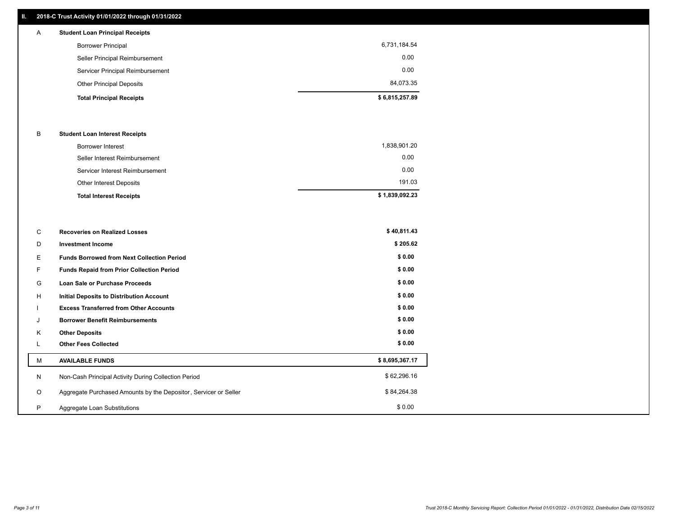#### **II. 2018-C Trust Activity 01/01/2022 through 01/31/2022**

# **Total Principal Receipts \$ 6,815,257.89**  Other Principal Deposits 84,073.35 Servicer Principal Reimbursement 0.00 Seller Principal Reimbursement 0.00 Borrower Principal 6,731,184.54 A **Student Loan Principal Receipts**

#### B **Student Loan Interest Receipts**

| <b>Total Interest Receipts</b>  | \$1,839,092.23 |
|---------------------------------|----------------|
| Other Interest Deposits         | 191.03         |
| Servicer Interest Reimbursement | 0.00           |
| Seller Interest Reimbursement   | 0.00           |
| Borrower Interest               | 1,838,901.20   |

| C       | <b>Recoveries on Realized Losses</b>                             | \$40,811.43    |
|---------|------------------------------------------------------------------|----------------|
| D       | <b>Investment Income</b>                                         | \$205.62       |
| Е.      | <b>Funds Borrowed from Next Collection Period</b>                | \$0.00         |
| F.      | <b>Funds Repaid from Prior Collection Period</b>                 | \$0.00         |
| G       | Loan Sale or Purchase Proceeds                                   | \$0.00         |
| H       | Initial Deposits to Distribution Account                         | \$0.00         |
|         | <b>Excess Transferred from Other Accounts</b>                    | \$0.00         |
| J       | <b>Borrower Benefit Reimbursements</b>                           | \$0.00         |
| Κ       | <b>Other Deposits</b>                                            | \$0.00         |
|         | <b>Other Fees Collected</b>                                      | \$0.00         |
| м       | <b>AVAILABLE FUNDS</b>                                           | \$8,695,367.17 |
| N       | Non-Cash Principal Activity During Collection Period             | \$62,296.16    |
| $\circ$ | Aggregate Purchased Amounts by the Depositor, Servicer or Seller | \$84,264.38    |
| P       | Aggregate Loan Substitutions                                     | \$0.00         |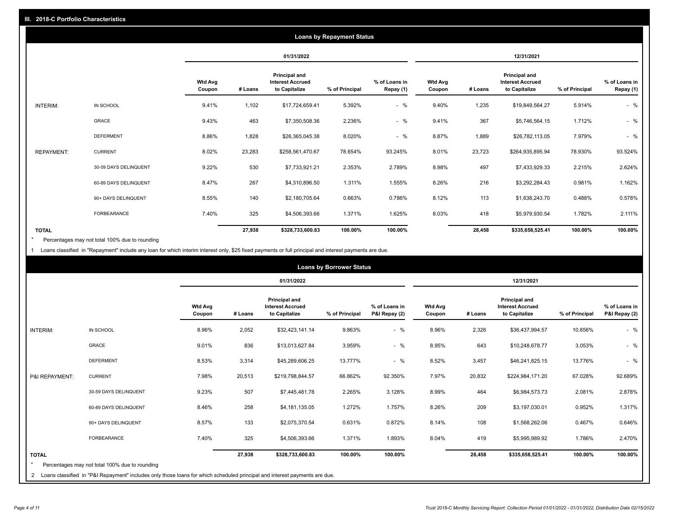|                   | <b>Loans by Repayment Status</b> |                          |            |                                                           |                |                            |                          |         |                                                           |                |                            |
|-------------------|----------------------------------|--------------------------|------------|-----------------------------------------------------------|----------------|----------------------------|--------------------------|---------|-----------------------------------------------------------|----------------|----------------------------|
|                   |                                  |                          | 01/31/2022 |                                                           |                | 12/31/2021                 |                          |         |                                                           |                |                            |
|                   |                                  | <b>Wtd Avg</b><br>Coupon | # Loans    | Principal and<br><b>Interest Accrued</b><br>to Capitalize | % of Principal | % of Loans in<br>Repay (1) | <b>Wtd Avg</b><br>Coupon | # Loans | Principal and<br><b>Interest Accrued</b><br>to Capitalize | % of Principal | % of Loans in<br>Repay (1) |
| <b>INTERIM:</b>   | IN SCHOOL                        | 9.41%                    | 1,102      | \$17,724,659.41                                           | 5.392%         | $-$ %                      | 9.40%                    | 1,235   | \$19,849,564.27                                           | 5.914%         | $-$ %                      |
|                   | GRACE                            | 9.43%                    | 463        | \$7,350,508.36                                            | 2.236%         | $-$ %                      | 9.41%                    | 367     | \$5,746,564.15                                            | 1.712%         | $-$ %                      |
|                   | <b>DEFERMENT</b>                 | 8.86%                    | 1,828      | \$26,365,045.38                                           | 8.020%         | $-$ %                      | 8.87%                    | 1,889   | \$26,782,113.05                                           | 7.979%         | $-$ %                      |
| <b>REPAYMENT:</b> | <b>CURRENT</b>                   | 8.02%                    | 23,283     | \$258,561,470.67                                          | 78.654%        | 93.245%                    | 8.01%                    | 23,723  | \$264,935,895.94                                          | 78.930%        | 93.524%                    |
|                   | 30-59 DAYS DELINQUENT            | 9.22%                    | 530        | \$7,733,921.21                                            | 2.353%         | 2.789%                     | 8.98%                    | 497     | \$7,433,929.33                                            | 2.215%         | 2.624%                     |
|                   | 60-89 DAYS DELINQUENT            | 8.47%                    | 267        | \$4,310,896.50                                            | 1.311%         | 1.555%                     | 8.26%                    | 216     | \$3,292,284.43                                            | 0.981%         | 1.162%                     |
|                   | 90+ DAYS DELINQUENT              | 8.55%                    | 140        | \$2,180,705.64                                            | 0.663%         | 0.786%                     | 8.12%                    | 113     | \$1,638,243.70                                            | 0.488%         | 0.578%                     |
|                   | <b>FORBEARANCE</b>               | 7.40%                    | 325        | \$4,506,393.66                                            | 1.371%         | 1.625%                     | 8.03%                    | 418     | \$5,979,930.54                                            | 1.782%         | 2.111%                     |
| <b>TOTAL</b>      |                                  |                          | 27,938     | \$328,733,600.83                                          | 100.00%        | 100.00%                    |                          | 28,458  | \$335,658,525.41                                          | 100.00%        | 100.00%                    |

Percentages may not total 100% due to rounding \*

1 Loans classified in "Repayment" include any loan for which interim interest only, \$25 fixed payments or full principal and interest payments are due.

|                |                                                                                                                            |                          | <b>Loans by Borrower Status</b> |                                                           |                |                                |                          |         |                                                                  |                |                                |
|----------------|----------------------------------------------------------------------------------------------------------------------------|--------------------------|---------------------------------|-----------------------------------------------------------|----------------|--------------------------------|--------------------------|---------|------------------------------------------------------------------|----------------|--------------------------------|
|                |                                                                                                                            |                          |                                 | 01/31/2022                                                |                |                                | 12/31/2021               |         |                                                                  |                |                                |
|                |                                                                                                                            | <b>Wtd Avg</b><br>Coupon | # Loans                         | Principal and<br><b>Interest Accrued</b><br>to Capitalize | % of Principal | % of Loans in<br>P&I Repay (2) | <b>Wtd Avg</b><br>Coupon | # Loans | <b>Principal and</b><br><b>Interest Accrued</b><br>to Capitalize | % of Principal | % of Loans in<br>P&I Repay (2) |
| INTERIM:       | IN SCHOOL                                                                                                                  | 8.96%                    | 2,052                           | \$32,423,141.14                                           | 9.863%         | $-$ %                          | 8.96%                    | 2,326   | \$36,437,994.57                                                  | 10.856%        | $-$ %                          |
|                | <b>GRACE</b>                                                                                                               | 9.01%                    | 836                             | \$13,013,627.84                                           | 3.959%         | $-$ %                          | 8.95%                    | 643     | \$10,248,678.77                                                  | 3.053%         | $-$ %                          |
|                | <b>DEFERMENT</b>                                                                                                           | 8.53%                    | 3,314                           | \$45,289,606.25                                           | 13.777%        | $-$ %                          | 8.52%                    | 3,457   | \$46,241,825.15                                                  | 13.776%        | $-$ %                          |
| P&I REPAYMENT: | <b>CURRENT</b>                                                                                                             | 7.98%                    | 20,513                          | \$219,798,844.57                                          | 66.862%        | 92.350%                        | 7.97%                    | 20,832  | \$224,984,171.20                                                 | 67.028%        | 92.689%                        |
|                | 30-59 DAYS DELINQUENT                                                                                                      | 9.23%                    | 507                             | \$7,445,481.78                                            | 2.265%         | 3.128%                         | 8.99%                    | 464     | \$6,984,573.73                                                   | 2.081%         | 2.878%                         |
|                | 60-89 DAYS DELINQUENT                                                                                                      | 8.46%                    | 258                             | \$4,181,135.05                                            | 1.272%         | 1.757%                         | 8.26%                    | 209     | \$3,197,030.01                                                   | 0.952%         | 1.317%                         |
|                | 90+ DAYS DELINQUENT                                                                                                        | 8.57%                    | 133                             | \$2,075,370.54                                            | 0.631%         | 0.872%                         | 8.14%                    | 108     | \$1,568,262.06                                                   | 0.467%         | 0.646%                         |
|                | FORBEARANCE                                                                                                                | 7.40%                    | 325                             | \$4,506,393.66                                            | 1.371%         | 1.893%                         | 8.04%                    | 419     | \$5,995,989.92                                                   | 1.786%         | 2.470%                         |
| <b>TOTAL</b>   | Percentages may not total 100% due to rounding                                                                             |                          | 27,938                          | \$328,733,600.83                                          | 100.00%        | 100.00%                        |                          | 28,458  | \$335,658,525.41                                                 | 100.00%        | 100.00%                        |
| 2              | Loans classified in "P&I Repayment" includes only those loans for which scheduled principal and interest payments are due. |                          |                                 |                                                           |                |                                |                          |         |                                                                  |                |                                |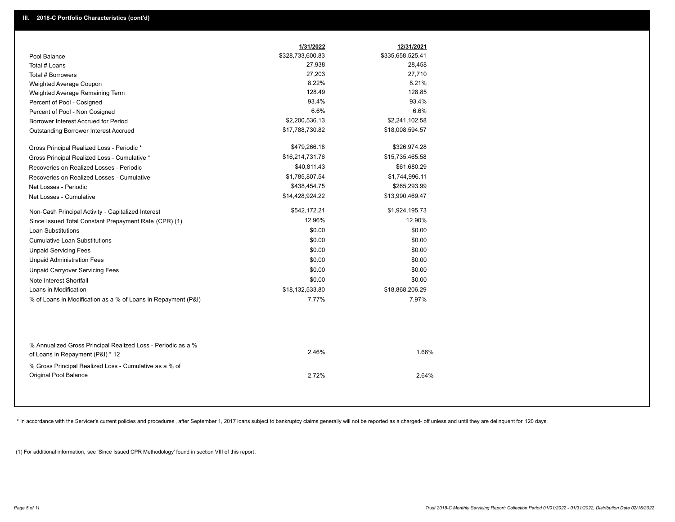|                                                                                                  | 1/31/2022        | 12/31/2021       |  |
|--------------------------------------------------------------------------------------------------|------------------|------------------|--|
| Pool Balance                                                                                     | \$328,733,600.83 | \$335,658,525.41 |  |
| Total # Loans                                                                                    | 27,938           | 28,458           |  |
| Total # Borrowers                                                                                | 27,203           | 27,710           |  |
| Weighted Average Coupon                                                                          | 8.22%            | 8.21%            |  |
| Weighted Average Remaining Term                                                                  | 128.49           | 128.85           |  |
| Percent of Pool - Cosigned                                                                       | 93.4%            | 93.4%            |  |
| Percent of Pool - Non Cosigned                                                                   | 6.6%             | 6.6%             |  |
| Borrower Interest Accrued for Period                                                             | \$2,200,536.13   | \$2,241,102.58   |  |
| Outstanding Borrower Interest Accrued                                                            | \$17,788,730.82  | \$18,008,594.57  |  |
| Gross Principal Realized Loss - Periodic *                                                       | \$479,266.18     | \$326,974.28     |  |
| Gross Principal Realized Loss - Cumulative *                                                     | \$16,214,731.76  | \$15,735,465.58  |  |
| Recoveries on Realized Losses - Periodic                                                         | \$40,811.43      | \$61,680.29      |  |
| Recoveries on Realized Losses - Cumulative                                                       | \$1,785,807.54   | \$1,744,996.11   |  |
| Net Losses - Periodic                                                                            | \$438,454.75     | \$265,293.99     |  |
| Net Losses - Cumulative                                                                          | \$14,428,924.22  | \$13,990,469.47  |  |
| Non-Cash Principal Activity - Capitalized Interest                                               | \$542,172.21     | \$1,924,195.73   |  |
| Since Issued Total Constant Prepayment Rate (CPR) (1)                                            | 12.96%           | 12.90%           |  |
| <b>Loan Substitutions</b>                                                                        | \$0.00           | \$0.00           |  |
| Cumulative Loan Substitutions                                                                    | \$0.00           | \$0.00           |  |
| <b>Unpaid Servicing Fees</b>                                                                     | \$0.00           | \$0.00           |  |
| <b>Unpaid Administration Fees</b>                                                                | \$0.00           | \$0.00           |  |
| <b>Unpaid Carryover Servicing Fees</b>                                                           | \$0.00           | \$0.00           |  |
| Note Interest Shortfall                                                                          | \$0.00           | \$0.00           |  |
| Loans in Modification                                                                            | \$18,132,533.80  | \$18,868,206.29  |  |
| % of Loans in Modification as a % of Loans in Repayment (P&I)                                    | 7.77%            | 7.97%            |  |
|                                                                                                  |                  |                  |  |
| % Annualized Gross Principal Realized Loss - Periodic as a %<br>of Loans in Repayment (P&I) * 12 | 2.46%            | 1.66%            |  |
| % Gross Principal Realized Loss - Cumulative as a % of                                           |                  |                  |  |

\* In accordance with the Servicer's current policies and procedures, after September 1, 2017 loans subject to bankruptcy claims generally will not be reported as a charged- off unless and until they are delinquent for 120

2.72% 2.64%

(1) For additional information, see 'Since Issued CPR Methodology' found in section VIII of this report .

Original Pool Balance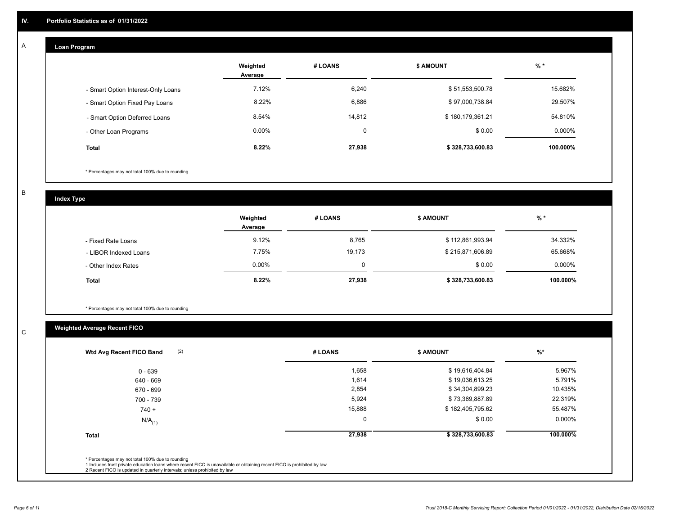## **Loan Program**

A

|                                    | Weighted<br>Average | # LOANS  | <b>S AMOUNT</b>  | $%$ *    |
|------------------------------------|---------------------|----------|------------------|----------|
| - Smart Option Interest-Only Loans | 7.12%               | 6,240    | \$51,553,500.78  | 15.682%  |
| - Smart Option Fixed Pay Loans     | 8.22%               | 6,886    | \$97,000,738.84  | 29.507%  |
| - Smart Option Deferred Loans      | 8.54%               | 14.812   | \$180,179,361.21 | 54.810%  |
| - Other Loan Programs              | $0.00\%$            | $\Omega$ | \$0.00           | 0.000%   |
| <b>Total</b>                       | 8.22%               | 27,938   | \$328,733,600.83 | 100.000% |

\* Percentages may not total 100% due to rounding

B

C

**Index Type**

|                       | Weighted<br>Average | # LOANS  | <b>\$ AMOUNT</b> | % *      |
|-----------------------|---------------------|----------|------------------|----------|
| - Fixed Rate Loans    | 9.12%               | 8,765    | \$112,861,993.94 | 34.332%  |
| - LIBOR Indexed Loans | 7.75%               | 19,173   | \$215,871,606.89 | 65.668%  |
| - Other Index Rates   | $0.00\%$            | $\Omega$ | \$0.00           | 0.000%   |
| <b>Total</b>          | 8.22%               | 27,938   | \$328,733,600.83 | 100.000% |

\* Percentages may not total 100% due to rounding

# **Weighted Average Recent FICO**

| (2)<br>Wtd Avg Recent FICO Band                  | # LOANS     | <b>\$ AMOUNT</b> | $%$ *    |
|--------------------------------------------------|-------------|------------------|----------|
| $0 - 639$                                        | 1,658       | \$19,616,404.84  | 5.967%   |
| 640 - 669                                        | 1,614       | \$19,036,613.25  | 5.791%   |
| 670 - 699                                        | 2,854       | \$34,304,899.23  | 10.435%  |
| 700 - 739                                        | 5,924       | \$73,369,887.89  | 22.319%  |
| $740 +$                                          | 15,888      | \$182,405,795.62 | 55.487%  |
| $N/A$ <sub>(1)</sub>                             | $\mathbf 0$ | \$0.00           | 0.000%   |
| <b>Total</b>                                     | 27,938      | \$328,733,600.83 | 100.000% |
| * Percentages may not total 100% due to rounding |             |                  |          |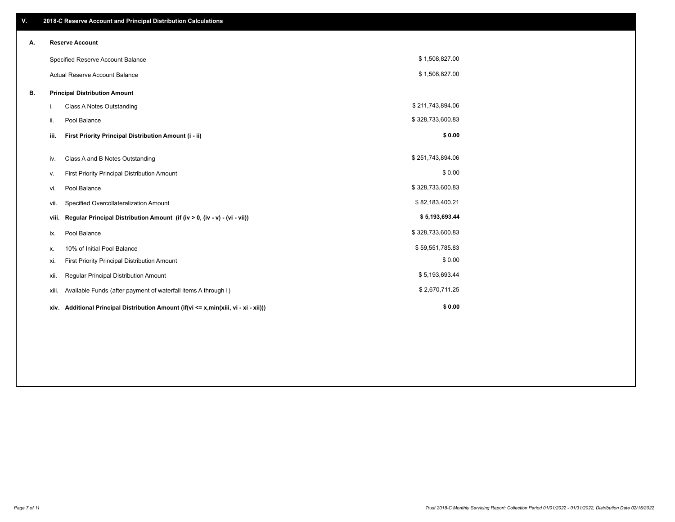| V. |                        | 2018-C Reserve Account and Principal Distribution Calculations                  |                  |  |  |  |  |
|----|------------------------|---------------------------------------------------------------------------------|------------------|--|--|--|--|
| А. | <b>Reserve Account</b> |                                                                                 |                  |  |  |  |  |
|    |                        | Specified Reserve Account Balance                                               | \$1,508,827.00   |  |  |  |  |
|    |                        | <b>Actual Reserve Account Balance</b>                                           | \$1,508,827.00   |  |  |  |  |
| В. |                        | <b>Principal Distribution Amount</b>                                            |                  |  |  |  |  |
|    | i.                     | Class A Notes Outstanding                                                       | \$211,743,894.06 |  |  |  |  |
|    | ii.                    | Pool Balance                                                                    | \$328,733,600.83 |  |  |  |  |
|    | iii.                   | First Priority Principal Distribution Amount (i - ii)                           | \$0.00           |  |  |  |  |
|    | iv.                    | Class A and B Notes Outstanding                                                 | \$251,743,894.06 |  |  |  |  |
|    | v.                     | First Priority Principal Distribution Amount                                    | \$0.00           |  |  |  |  |
|    | vi.                    | Pool Balance                                                                    | \$328,733,600.83 |  |  |  |  |
|    | vii.                   | Specified Overcollateralization Amount                                          | \$82,183,400.21  |  |  |  |  |
|    | viii.                  | Regular Principal Distribution Amount (if (iv > 0, (iv - v) - (vi - vii))       | \$5,193,693.44   |  |  |  |  |
|    | ix.                    | Pool Balance                                                                    | \$328,733,600.83 |  |  |  |  |
|    | х.                     | 10% of Initial Pool Balance                                                     | \$59,551,785.83  |  |  |  |  |
|    | xi.                    | First Priority Principal Distribution Amount                                    | \$0.00           |  |  |  |  |
|    | xii.                   | Regular Principal Distribution Amount                                           | \$5,193,693.44   |  |  |  |  |
|    | xiii.                  | Available Funds (after payment of waterfall items A through I)                  | \$2,670,711.25   |  |  |  |  |
|    | xiv.                   | Additional Principal Distribution Amount (if(vi <= x,min(xiii, vi - xi - xii))) | \$0.00           |  |  |  |  |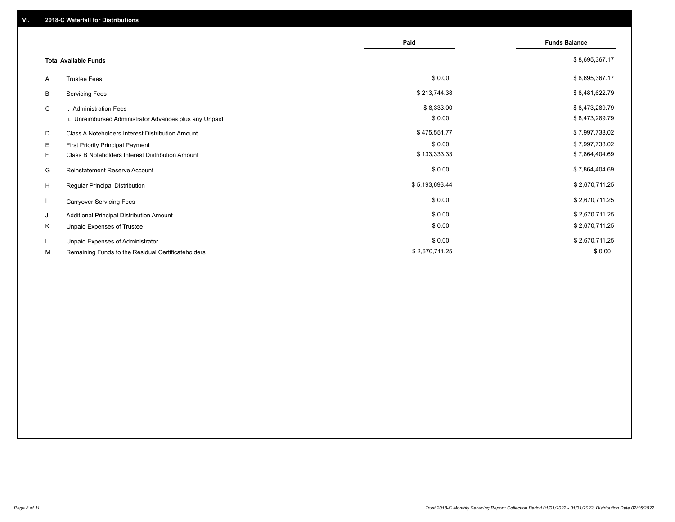|    |                                                         | Paid           | <b>Funds Balance</b> |
|----|---------------------------------------------------------|----------------|----------------------|
|    | <b>Total Available Funds</b>                            |                | \$8,695,367.17       |
| A  | <b>Trustee Fees</b>                                     | \$0.00         | \$8,695,367.17       |
| В  | <b>Servicing Fees</b>                                   | \$213,744.38   | \$8,481,622.79       |
| C  | i. Administration Fees                                  | \$8,333.00     | \$8,473,289.79       |
|    | ii. Unreimbursed Administrator Advances plus any Unpaid | \$0.00         | \$8,473,289.79       |
| D  | Class A Noteholders Interest Distribution Amount        | \$475,551.77   | \$7,997,738.02       |
| E. | First Priority Principal Payment                        | \$0.00         | \$7,997,738.02       |
| F. | Class B Noteholders Interest Distribution Amount        | \$133,333.33   | \$7,864,404.69       |
| G  | <b>Reinstatement Reserve Account</b>                    | \$0.00         | \$7,864,404.69       |
| H  | Regular Principal Distribution                          | \$5,193,693.44 | \$2,670,711.25       |
|    | <b>Carryover Servicing Fees</b>                         | \$0.00         | \$2,670,711.25       |
| J  | Additional Principal Distribution Amount                | \$0.00         | \$2,670,711.25       |
| Κ  | Unpaid Expenses of Trustee                              | \$0.00         | \$2,670,711.25       |
| L  | Unpaid Expenses of Administrator                        | \$0.00         | \$2,670,711.25       |
| М  | Remaining Funds to the Residual Certificateholders      | \$2,670,711.25 | \$0.00               |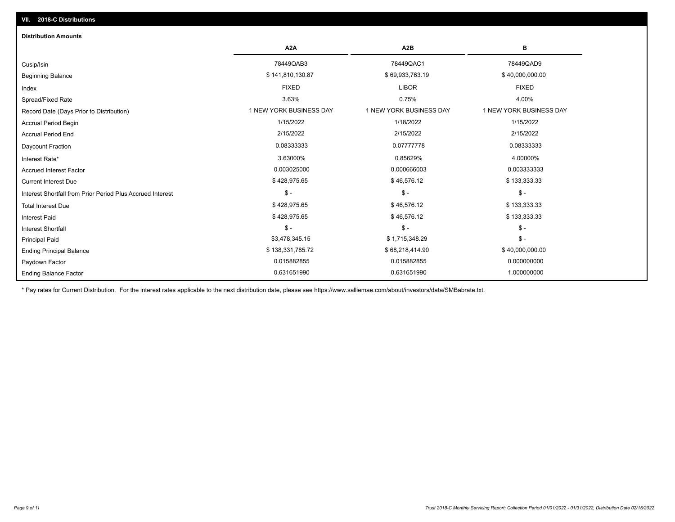| <b>Distribution Amounts</b>                                |                         |                         |                         |
|------------------------------------------------------------|-------------------------|-------------------------|-------------------------|
|                                                            | A <sub>2</sub> A        | A <sub>2</sub> B        | в                       |
| Cusip/Isin                                                 | 78449QAB3               | 78449QAC1               | 78449QAD9               |
| <b>Beginning Balance</b>                                   | \$141,810,130.87        | \$69,933,763.19         | \$40,000,000.00         |
| Index                                                      | <b>FIXED</b>            | <b>LIBOR</b>            | <b>FIXED</b>            |
| Spread/Fixed Rate                                          | 3.63%                   | 0.75%                   | 4.00%                   |
| Record Date (Days Prior to Distribution)                   | 1 NEW YORK BUSINESS DAY | 1 NEW YORK BUSINESS DAY | 1 NEW YORK BUSINESS DAY |
| <b>Accrual Period Begin</b>                                | 1/15/2022               | 1/18/2022               | 1/15/2022               |
| <b>Accrual Period End</b>                                  | 2/15/2022               | 2/15/2022               | 2/15/2022               |
| Daycount Fraction                                          | 0.08333333              | 0.07777778              | 0.08333333              |
| Interest Rate*                                             | 3.63000%                | 0.85629%                | 4.00000%                |
| <b>Accrued Interest Factor</b>                             | 0.003025000             | 0.000666003             | 0.003333333             |
| <b>Current Interest Due</b>                                | \$428,975.65            | \$46,576.12             | \$133,333.33            |
| Interest Shortfall from Prior Period Plus Accrued Interest | $$ -$                   | $\mathsf{\$}$ -         | $$ -$                   |
| <b>Total Interest Due</b>                                  | \$428,975.65            | \$46,576.12             | \$133,333.33            |
| <b>Interest Paid</b>                                       | \$428,975.65            | \$46,576.12             | \$133,333.33            |
| <b>Interest Shortfall</b>                                  | $$ -$                   | $\mathsf{\$}$ -         | $\mathsf{\$}$ -         |
| <b>Principal Paid</b>                                      | \$3,478,345.15          | \$1,715,348.29          | $\mathsf{\$}$ -         |
| <b>Ending Principal Balance</b>                            | \$138,331,785.72        | \$68,218,414.90         | \$40,000,000.00         |
| Paydown Factor                                             | 0.015882855             | 0.015882855             | 0.000000000             |
| <b>Ending Balance Factor</b>                               | 0.631651990             | 0.631651990             | 1.000000000             |

\* Pay rates for Current Distribution. For the interest rates applicable to the next distribution date, please see https://www.salliemae.com/about/investors/data/SMBabrate.txt.

**VII. 2018-C Distributions**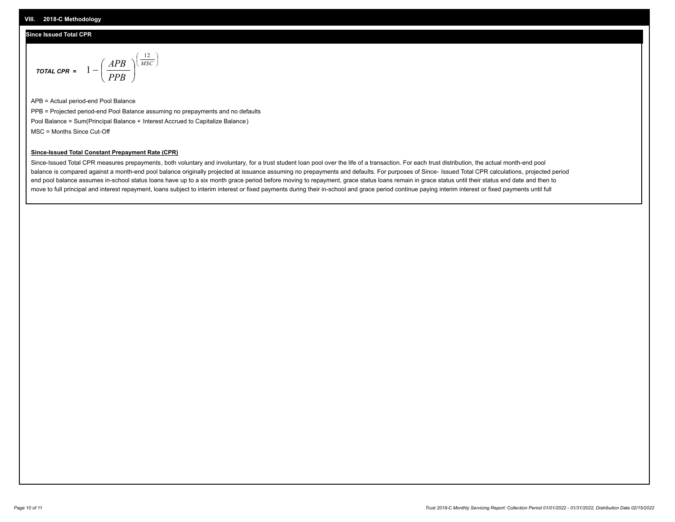#### **Since Issued Total CPR**

$$
\text{total cPR} = 1 - \left(\frac{APB}{PPB}\right)^{\left(\frac{12}{MSC}\right)}
$$

APB = Actual period-end Pool Balance PPB = Projected period-end Pool Balance assuming no prepayments and no defaults Pool Balance = Sum(Principal Balance + Interest Accrued to Capitalize Balance) MSC = Months Since Cut-Off

I J Ι

#### **Since-Issued Total Constant Prepayment Rate (CPR)**

Since-Issued Total CPR measures prepayments, both voluntary and involuntary, for a trust student loan pool over the life of a transaction. For each trust distribution, the actual month-end pool balance is compared against a month-end pool balance originally projected at issuance assuming no prepayments and defaults. For purposes of Since- Issued Total CPR calculations, projected period end pool balance assumes in-school status loans have up to a six month grace period before moving to repayment, grace status loans remain in grace status until their status end date and then to move to full principal and interest repayment, loans subject to interim interest or fixed payments during their in-school and grace period continue paying interim interest or fixed payments until full